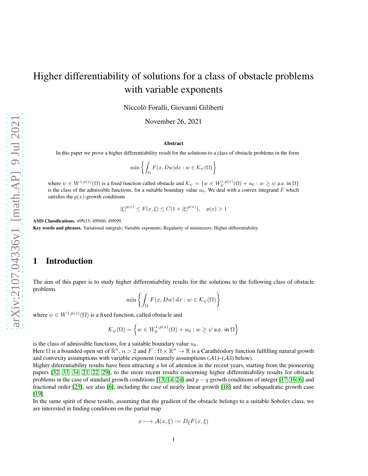# Higher differentiability of solutions for a class of obstacle problems with variable exponents

Niccolò Foralli, Giovanni Giliberti

November 26, 2021

#### Abstract

In this paper we prove a higher differentiability result for the solutions to a class of obstacle problems in the form

$$
\min\left\{\int_{\Omega} F(x, Dw)dx : w \in \mathcal{K}_{\psi}(\Omega)\right\}
$$

where  $\psi \in W^{1,p(x)}(\Omega)$  is a fixed function called obstacle and  $\mathcal{K}_{\psi} = \{w \in W^{1,p(x)}_0(\Omega) + u_0 : w \ge \psi \text{ a.e. in } \Omega\}$ is the class of the admissible functions, for a suitable boundary value  $u_0$ . We deal with a convex integrand F which satisfies the  $p(x)$ -growth conditions

$$
|\xi|^{p(x)} \le F(x,\xi) \le C(1+|\xi|^{p(x)}), \quad p(x) > 1
$$

AMS Classifications. 49N15; 49N60; 49N99.

Key words and phrases. Variational integrals; Variable exponents; Regularity of minimizers; Higher differentiability.

## 1 Introduction

The aim of this paper is to study higher differentiability results for the solutions to the following class of obstacle problems

$$
\min\left\{\int_{\Omega} F(x, Dw) \, dx : w \in \mathcal{K}_{\psi}(\Omega)\right\}
$$

where  $\psi \in W^{1,p(x)}(\Omega)$  is a fixed function, called obstacle and

$$
\mathcal{K}_{\psi}(\Omega) = \left\{ w \in W_0^{1,p(x)}(\Omega) + u_0 : w \ge \psi \text{ a.e. in } \Omega \right\}
$$

is the class of admissible functions, for a suitable boundary value  $u_0$ .

Here  $\Omega$  is a bounded open set of  $\mathbb{R}^n$ ,  $n>2$  and  $F:\Omega\times\mathbb{R}^n\to\mathbb{R}$  is a Carathéodory function fulfilling natural growth and convexity assumptions with variable exponent (namely assumptions  $(A1)$ – $(A3)$  below).

Higher diferentiability results have been attracting a lot of attention in the recent years, starting from the pioneering papers [\[32,](#page-16-0) [33,](#page-16-1) [34,](#page-16-2) [21,](#page-15-0) [22,](#page-15-1) [29\]](#page-16-3), to the more recent results concerning higher differentiability results for obstacle problems in the case of standard growth conditions [\[13,](#page-15-2) [14,](#page-15-3) [24\]](#page-16-4) and  $p - q$  growth conditions of integer [\[17,](#page-15-4) [16,](#page-15-5) [6\]](#page-15-6) and fractional order [\[25\]](#page-16-5), see also [\[6\]](#page-15-6), including the case of nearly linear growth [\[18\]](#page-15-7) and the subquadratic growth case [\[19\]](#page-15-8).

In the same spirit of these results, assuming that the gradient of the obstacle belongs to a suitable Sobolev class, we are interested in finding conditions on the partial map

$$
x \longmapsto \mathcal{A}(x,\xi) := D_{\xi}F(x,\xi)
$$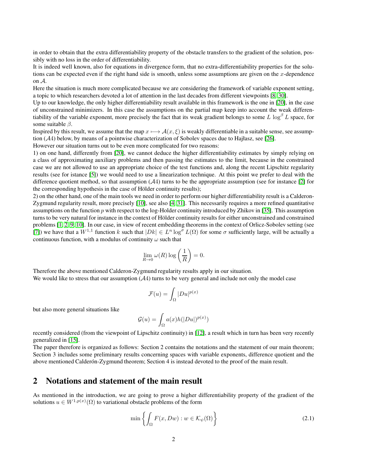in order to obtain that the extra differentiability property of the obstacle transfers to the gradient of the solution, possibly with no loss in the order of differentiability.

It is indeed well known, also for equations in divergence form, that no extra-differentiability properties for the solutions can be expected even if the right hand side is smooth, unless some assumptions are given on the  $x$ -dependence on A.

Here the situation is much more complicated because we are considering the framework of variable exponent setting, a topic to which researchers devoted a lot of attention in the last decades from different viewpoints [\[8,](#page-15-9) [30\]](#page-16-6).

Up to our knowledge, the only higher differentiability result available in this framework is the one in [\[20\]](#page-15-10), in the case of unconstrained minimizers. In this case the assumptions on the partial map keep into account the weak differentiability of the variable exponent, more precisely the fact that its weak gradient belongs to some L  $\log^{\beta} L$  space, for some suitable  $\beta$ .

Inspired by this result, we assume that the map  $x \mapsto \mathcal{A}(x, \xi)$  is weakly differentiable in a suitable sense, see assumption (A4) below, by means of a pointwise characterization of Sobolev spaces due to Hajłasz, see [\[26\]](#page-16-7).

However our situation turns out to be even more complicated for two reasons:

1) on one hand, differently from [\[20\]](#page-15-10), we cannot deduce the higher differentiability estimates by simply relying on a class of approximating auxiliary problems and then passing the estimates to the limit, because in the constrained case we are not allowed to use an appropriate choice of the test functions and, along the recent Lipschitz regularity results (see for istance [\[5\]](#page-15-11)) we would need to use a linearization technique. At this point we prefer to deal with the difference quotient method, so that assumption (A4) turns to be the appropriate assumption (see for instance [\[2\]](#page-14-0) for the corresponding hypothesis in the case of Hölder continuity results);

2) on the other hand, one of the main tools we need in order to perform our higher differentiability result is a Calderon-Zygmund regularity result, more precisely [\[10\]](#page-15-12), see also [\[4,](#page-15-13) [31\]](#page-16-8). This necessarily requires a more refined quantitative assumptions on the function  $p$  with respect to the log-Holder continuity introduced by Zhikov in [\[35\]](#page-16-9). This assumption turns to be very natural for instance in the context of Hölder continuity results for either unconstrained and constrained problems [\[1,](#page-14-1) [2,](#page-14-0) [9,](#page-15-14) [10\]](#page-15-12). In our case, in view of recent embedding theorems in the context of Orlicz-Sobolev setting (see [\[7\]](#page-15-15)) we have that a  $W^{1,1}$  function k such that  $|Dk| \in L^n \log^{\sigma} L(\Omega)$  for some  $\sigma$  sufficiently large, will be actually a continuous function, with a modulus of continuity  $\omega$  such that

$$
\lim_{R \to 0} \omega(R) \log \left( \frac{1}{R} \right) = 0.
$$

Therefore the above mentioned Calderon-Zygmund regularity results apply in our situation. We would like to stress that our assumption  $(A4)$  turns to be very general and include not only the model case

$$
\mathcal{F}(u) = \int_{\Omega} |Du|^{p(x)}
$$

but also more general situations like

$$
\mathcal{G}(u) = \int_{\Omega} a(x)h(|Du|)^{p(x)})
$$

recently considered (from the viewpoint of Lipschitz continuity) in [\[12\]](#page-15-16), a result which in turn has been very recently generalized in [\[15\]](#page-15-17).

The paper therefore is organized as follows: Section 2 contains the notations and the statement of our main theorem; Section 3 includes some preliminary results concerning spaces with variable exponents, difference quotient and the above mentioned Calder on-Zygmund theorem; Section 4 is instead devoted to the proof of the main result.

## 2 Notations and statement of the main result

As mentioned in the introduction, we are going to prove a higher differentiability property of the gradient of the solutions  $u \in W^{1,p(x)}(\Omega)$  to variational obstacle problems of the form

<span id="page-1-0"></span>
$$
\min\left\{\int_{\Omega} F(x, Dw) : w \in \mathcal{K}_{\psi}(\Omega)\right\}
$$
\n(2.1)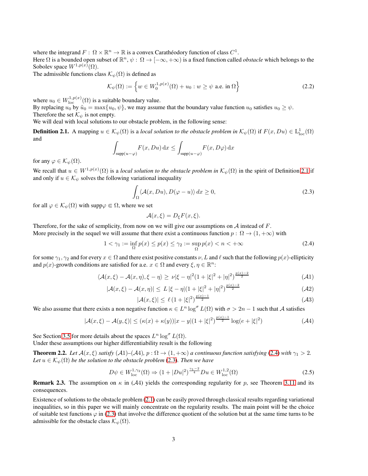where the integrand  $F: \Omega \times \mathbb{R}^n \to \mathbb{R}$  is a convex Carathéodory function of class  $C^1$ .

Here  $\Omega$  is a bounded open subset of  $\mathbb{R}^n$ ,  $\psi: \Omega \to [-\infty, +\infty)$  is a fixed function called *obstacle* which belongs to the Sobolev space  $W^{1,p(x)}(\Omega)$ .

The admissible functions class  $\mathcal{K}_{\psi}(\Omega)$  is defined as

$$
\mathcal{K}_{\psi}(\Omega) := \left\{ w \in W_0^{1, p(x)}(\Omega) + u_0 : w \ge \psi \text{ a.e. in } \Omega \right\}
$$
 (2.2)

where  $u_0 \in W^{1,p(x)}_{\text{loc}}(\Omega)$  is a suitable boundary value.

By replacing  $u_0$  by  $\tilde{u}_0 = \max\{u_0, \psi\}$ , we may assume that the boundary value function  $u_0$  satisfies  $u_0 \ge \psi$ . Therefore the set  $\mathcal{K}_{\psi}$  is not empty.

We will deal with local solutions to our obstacle problem, in the following sense:

<span id="page-2-0"></span>**Definition 2.1.** A mapping  $u \in \mathcal{K}_{\psi}(\Omega)$  is a *local solution to the obstacle problem in*  $\mathcal{K}_{\psi}(\Omega)$  if  $F(x, Du) \in L^{1}_{loc}(\Omega)$ and

$$
\int_{\text{supp}(u-\varphi)} F(x, Du) \, dx \le \int_{\text{supp}(u-\varphi)} F(x, D\varphi) \, dx
$$

for any  $\varphi \in \mathcal{K}_{\psi}(\Omega)$ .

We recall that  $u \in W^{1,p(x)}(\Omega)$  is a *local solution to the obstacle problem in*  $\mathcal{K}_{\psi}(\Omega)$  in the spirit of Definition [2.1](#page-2-0) if and only if  $u \in \mathcal{K}_{\psi}$  solves the following variational inequality

<span id="page-2-2"></span>
$$
\int_{\Omega} \langle A(x, Du), D(\varphi - u) \rangle dx \ge 0,
$$
\n(2.3)

for all  $\varphi \in \mathcal{K}_{\psi}(\Omega)$  with supp $\varphi \in \Omega$ , where we set

$$
\mathcal{A}(x,\xi) = D_{\xi}F(x,\xi).
$$

Therefore, for the sake of semplicity, from now on we will give our assumptions on  $A$  instead of  $F$ .

More precisely in the sequel we will assume that there exist a continuous function  $p : \Omega \to (1, +\infty)$  with

<span id="page-2-1"></span>
$$
1 < \gamma_1 := \inf_{\Omega} p(x) \le p(x) \le \gamma_2 := \sup_{\Omega} p(x) < n < +\infty \tag{2.4}
$$

for some  $\gamma_1, \gamma_2$  and for every  $x \in \Omega$  and there exist positive constants  $\nu, L$  and  $\ell$  such that the following  $p(x)$ -ellipticity and  $p(x)$ -growth conditions are satisfied for a.e.  $x \in \Omega$  and every  $\xi, \eta \in \mathbb{R}^n$ :

$$
\langle \mathcal{A}(x,\xi) - \mathcal{A}(x,\eta), \xi - \eta \rangle \ge \nu |\xi - \eta|^2 (1 + |\xi|^2 + |\eta|^2)^{\frac{p(x) - 2}{2}} \tag{A1}
$$

$$
|\mathcal{A}(x,\xi) - \mathcal{A}(x,\eta)| \le L |\xi - \eta| (1 + |\xi|^2 + |\eta|^2)^{\frac{p(x)-2}{2}} \tag{A2}
$$

$$
|\mathcal{A}(x,\xi)| \le \ell \left(1 + |\xi|^2\right)^{\frac{p(x)-1}{2}} \tag{A3}
$$

We also assume that there exists a non negative function  $\kappa \in L^n \log^\sigma L(\Omega)$  with  $\sigma > 2n - 1$  such that A satisfies

$$
|\mathcal{A}(x,\xi) - \mathcal{A}(y,\xi)| \le (\kappa(x) + \kappa(y))|x - y|(1 + |\xi|^2)^{\frac{p(x) - 1}{2}}\log(e + |\xi|^2)
$$
 (A4)

See Section [3.5](#page-5-0) for more details about the spaces  $L^n \log^{\sigma} L(\Omega)$ .

Under these assumptions our higher differentiability result is the following

<span id="page-2-3"></span>**Theorem 2.2.** *Let*  $\mathcal{A}(x,\xi)$  *satisfy*  $(\mathcal{A}1)$ – $(\mathcal{A}4)$ *, p* :  $\Omega \to (1,+\infty)$  *a continuous function satisfying* [\(2.4\)](#page-2-1) *with*  $\gamma_1 > 2$ *. Let*  $u \in \mathcal{K}_{\psi}(\Omega)$  *be the solution to the obstacle problem* [\(2.3\)](#page-2-2)*. Then we have* 

$$
D\psi \in W_{\text{loc}}^{1,\gamma_2}(\Omega) \Rightarrow (1+|Du|^2)^{\frac{\gamma_1-2}{4}}Du \in W_{\text{loc}}^{1,2}(\Omega)
$$
\n(2.5)

**Remark 2.3.** The assumption on  $\kappa$  in (A4) yields the corresponding regularity for p, see Theorem [3.11](#page-5-1) and its consequences.

Existence of solutions to the obstacle problem [\(2.1\)](#page-1-0) can be easily proved through classical results regarding variational inequalities, so in this paper we will mainly concentrate on the regularity results. The main point will be the choice of suitable test functions  $\varphi$  in [\(2.3\)](#page-2-2) that involve the difference quotient of the solution but at the same time turns to be admissible for the obstacle class  $\mathcal{K}_{\psi}(\Omega)$ .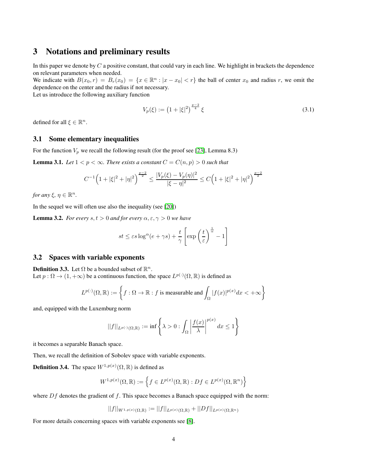## 3 Notations and preliminary results

In this paper we denote by  $C$  a positive constant, that could vary in each line. We highlight in brackets the dependence on relevant parameters when needed.

We indicate with  $B(x_0, r) = B_r(x_0) = \{x \in \mathbb{R}^n : |x - x_0| < r\}$  the ball of center  $x_0$  and radius r, we omit the dependence on the center and the radius if not necessary.

Let us introduce the following auxiliary function

$$
V_p(\xi) := \left(1 + |\xi|^2\right)^{\frac{p-2}{4}} \xi \tag{3.1}
$$

defined for all  $\xi \in \mathbb{R}^n$ .

### 3.1 Some elementary inequalities

For the function  $V_p$  we recall the following result (for the proof see [\[23\]](#page-16-10), Lemma 8.3)

<span id="page-3-1"></span>**Lemma 3.1.** *Let*  $1 < p < \infty$ *. There exists a constant*  $C = C(n, p) > 0$  *such that* 

$$
C^{-1}\Big(1+|\xi|^2+|\eta|^2\Big)^{\frac{p-2}{2}}\leq \frac{|V_p(\xi)-V_p(\eta)|^2}{|\xi-\eta|^2}\leq C\Big(1+|\xi|^2+|\eta|^2\Big)^{\frac{p-2}{2}}
$$

*for any*  $\xi, \eta \in \mathbb{R}^n$ .

In the sequel we will often use also the inequality (see [\[20\]](#page-15-10))

<span id="page-3-0"></span>**Lemma 3.2.** *For every*  $s, t > 0$  *and for every*  $\alpha, \epsilon, \gamma > 0$  *we have* 

$$
st \le \varepsilon s \log^{\alpha} (e + \gamma s) + \frac{t}{\gamma} \left[ \exp\left(\frac{t}{\varepsilon}\right)^{\frac{1}{\alpha}} - 1 \right]
$$

#### 3.2 Spaces with variable exponents

**Definition 3.3.** Let  $\Omega$  be a bounded subset of  $\mathbb{R}^n$ . Let  $p : \Omega \to (1, +\infty)$  be a continuous function, the space  $L^{p(\cdot)}(\Omega, \mathbb{R})$  is defined as

$$
L^{p(\cdot)}(\Omega,\mathbb{R}) := \left\{ f : \Omega \to \mathbb{R} : f \text{ is measurable and } \int_{\Omega} |f(x)|^{p(x)} dx < +\infty \right\}
$$

and, equipped with the Luxemburg norm

$$
||f||_{L^{p(\cdot)}(\Omega,\mathbb{R})} := \inf \left\{ \lambda > 0 : \int_{\Omega} \left| \frac{f(x)}{\lambda} \right|^{p(x)} dx \le 1 \right\}
$$

it becomes a separable Banach space.

Then, we recall the definition of Sobolev space with variable exponents.

**Definition 3.4.** The space  $W^{1,p(x)}(\Omega,\mathbb{R})$  is defined as

$$
W^{1,p(x)}(\Omega,\mathbb{R}) := \left\{ f \in L^{p(x)}(\Omega,\mathbb{R}) : Df \in L^{p(x)}(\Omega,\mathbb{R}^n) \right\}
$$

where  $Df$  denotes the gradient of f. This space becomes a Banach space equipped with the norm:

$$
||f||_{W^{1,p(x)}(\Omega,\mathbb{R})} := ||f||_{L^{p(x)}(\Omega,\mathbb{R})} + ||Df||_{L^{p(x)}(\Omega,\mathbb{R}^n)}
$$

For more details concerning spaces with variable exponents see [\[8\]](#page-15-9).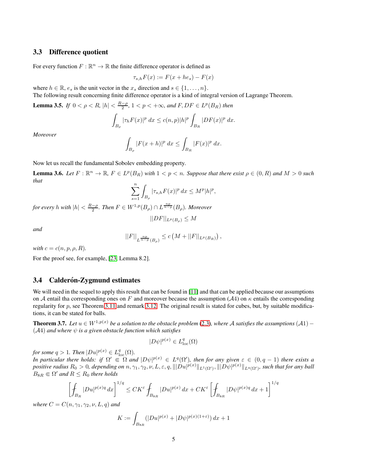#### 3.3 Difference quotient

For every function  $F : \mathbb{R}^n \to \mathbb{R}$  the finite difference operator is defined as

$$
\tau_{s,h}F(x) := F(x + he_s) - F(x)
$$

where  $h \in \mathbb{R}$ ,  $e_s$  is the unit vector in the  $x_s$  direction and  $s \in \{1, \ldots, n\}$ . The following result concerning finite difference operator is a kind of integral version of Lagrange Theorem.

<span id="page-4-1"></span>**Lemma 3.5.** *If*  $0 < \rho < R$ ,  $|h| < \frac{R-\rho}{2}$ ,  $1 < p < +\infty$ , and  $F, DF \in L^p(B_R)$  then

$$
\int_{B_{\rho}} |\tau_h F(x)|^p dx \le c(n,p)|h|^p \int_{B_R} |DF(x)|^p dx.
$$

*Moreover*

$$
\int_{B_{\rho}} |F(x+h)|^p dx \le \int_{B_R} |F(x)|^p dx.
$$

Now let us recall the fundamental Sobolev embedding property.

<span id="page-4-2"></span>**Lemma 3.6.** Let  $F : \mathbb{R}^n \to \mathbb{R}$ ,  $F \in L^p(B_R)$  with  $1 < p < n$ . Suppose that there exist  $\rho \in (0, R)$  and  $M > 0$  such *that*

$$
\sum_{s=1}^n \int_{B_\rho} |\tau_{s,h} F(x)|^p \, dx \le M^p |h|^p,
$$

*for every h with*  $|h| < \frac{R-\rho}{2}$ . Then  $F \in W^{1,p}(B_\rho) \cap L^{\frac{np}{n-p}}(B_\rho)$ . Moreover

$$
||DF||_{L^p(B_\rho)} \le M
$$

*and*

$$
||F||_{L^{\frac{np}{n-p}}(B_{\rho})} \leq c\left(M + ||F||_{L^p(B_R)}\right),
$$

*with*  $c = c(n, p, \rho, R)$ *.* 

For the proof see, for example, [\[23,](#page-16-10) Lemma 8.2].

#### 3.4 Calderón-Zygmund estimates

We will need in the sequel to apply this result that can be found in [\[11\]](#page-15-18) and that can be applied because our assumptions on A entail tha corresponding ones on F and moreover because the assumption (A4) on  $\kappa$  entails the corresponding regularity for  $p$ , see Theorem [3.11](#page-5-1) and remark [3.12.](#page-5-2) The original result is stated for cubes, but, by suitable modifications, it can be stated for balls.

<span id="page-4-0"></span>**Theorem 3.7.** *Let*  $u ∈ W^{1,p(x)}$  *be a solution to the obstacle problem* [\(2.3\)](#page-2-2)*, where A satisfies the assumptions* (*A*1) –  $(A4)$  *and where*  $\psi$  *is a given obstacle function which satisfies* 

$$
|D\psi|^{p(x)} \in L^q_{\text{loc}}(\Omega)
$$

*for some*  $q > 1$ *. Then*  $|Du|^{p(x)} \in L^q_{loc}(\Omega)$ *.* 

*In particular there holds: if*  $\Omega' \in \Omega$  and  $|D\psi|^{p(x)} \in L^q(\Omega')$ , then for any given  $\varepsilon \in (0, q-1)$  there exists a  $\emph{positive radius } R_0 > 0,$  depending on  $n, \gamma_1, \gamma_2, \nu, L, \varepsilon, q, \| |Du|^{p(x)} \|_{L^1(\Omega')}, \| |D\psi|^{p(x)} \|_{L^q(\Omega')},$  such that for any ball  $B_{8R} \in \Omega'$  and  $R \leq R_0$  there holds

$$
\left[\oint_{B_R} |Du|^{p(x)q} dx\right]^{1/q} \leq CK^{\varepsilon} \oint_{B_{8R}} |Du|^{p(x)} dx + CK^{\varepsilon} \left[\oint_{B_{8R}} |D\psi|^{p(x)q} dx + 1\right]^{1/q}
$$

*where*  $C = C(n, \gamma_1, \gamma_2, \nu, L, q)$  *and* 

$$
K := \int_{B_{8R}} (|Du|^{p(x)} + |D\psi|^{p(x)(1+\varepsilon)}) dx + 1
$$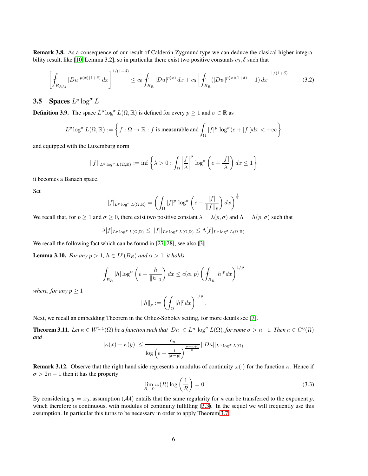Remark 3.8. As a consequence of our result of Calderón-Zygmund type we can deduce the clasical higher integra-bility result, like [\[10,](#page-15-12) Lemma 3.2], so in particular there exist two positive constants  $c_0$ ,  $\delta$  such that

<span id="page-5-4"></span>
$$
\left[\int_{B_{R/2}} |Du|^{p(x)(1+\delta)} dx\right]^{1/(1+\delta)} \le c_0 \int_{B_R} |Du|^{p(x)} dx + c_0 \left[\int_{B_R} (|D\psi|^{p(x)(1+\delta)} + 1) dx\right]^{1/(1+\delta)}
$$
(3.2)

## <span id="page-5-0"></span>**3.5** Spaces  $L^p \log^{\sigma} L$

**Definition 3.9.** The space  $L^p \log^{\sigma} L(\Omega, \mathbb{R})$  is defined for every  $p \ge 1$  and  $\sigma \in \mathbb{R}$  as

$$
L^p \log^\sigma L(\Omega,\mathbb{R}) := \left\{ f : \Omega \to \mathbb{R} : f \text{ is measurable and } \int_{\Omega} |f|^p \log^\sigma (e+|f|) dx < +\infty \right\}
$$

and equipped with the Luxemburg norm

$$
||f||_{L^p \log^{\sigma} L(\Omega, \mathbb{R})} := \inf \left\{ \lambda > 0 : \int_{\Omega} \left| \frac{f}{\lambda} \right|^p \log^{\sigma} \left( e + \frac{|f|}{\lambda} \right) dx \le 1 \right\}
$$

it becomes a Banach space.

Set

$$
[f]_{L^p \log^{\sigma} L(\Omega, \mathbb{R})} = \left( \int_{\Omega} |f|^p \log^{\sigma} \left( e + \frac{|f|}{||f||_p} \right) dx \right)^{\frac{1}{p}}
$$

We recall that, for  $p \ge 1$  and  $\sigma \ge 0$ , there exist two positive constant  $\lambda = \lambda(p, \sigma)$  and  $\Lambda = \Lambda(p, \sigma)$  such that

$$
\lambda[f]_{L^p \log^{\sigma} L(\Omega,\mathbb{R})} \leq ||f||_{L^p \log^{\sigma} L(\Omega,\mathbb{R})} \leq \Lambda[f]_{L^p \log^{\sigma} L(\Omega,\mathbb{R})}
$$

We recall the following fact which can be found in [\[27,](#page-16-11) [28\]](#page-16-12), see also [\[3\]](#page-14-2).

<span id="page-5-5"></span>**Lemma 3.10.** *For any*  $p > 1$ ,  $h \in L^p(B_R)$  *and*  $\alpha > 1$ *, it holds* 

$$
\oint_{B_R} |h| \log^{\alpha} \left( e + \frac{|h|}{\|h\|_1} \right) dx \le c(\alpha, p) \left( \oint_{B_R} |h|^p dx \right)^{1/p}
$$

*where, for any*  $p \geq 1$ 

$$
||h||_p := \left(\int_{\Omega} |h|^p dx\right)^{1/p}.
$$

Next, we recall an embedding Theorem in the Orlicz-Sobolev setting, for more details see [\[7\]](#page-15-15).

<span id="page-5-1"></span>**Theorem 3.11.** Let  $\kappa \in W^{1,1}(\Omega)$  be a function such that  $|D\kappa| \in L^n$   $\log^{\sigma} L(\Omega)$ , for some  $\sigma > n-1$ . Then  $\kappa \in C^0(\Omega)$ *and*

$$
|\kappa(x) - \kappa(y)| \le \frac{c_n}{\log\left(e + \frac{1}{|x-y|}\right)^{\frac{\sigma - n + 1}{n}}} ||D\kappa||_{L^n \log^{\sigma} L(\Omega)}
$$

<span id="page-5-2"></span>**Remark 3.12.** Observe that the right hand side represents a modulus of continuity  $\omega(\cdot)$  for the function  $\kappa$ . Hence if  $\sigma > 2n - 1$  then it has the property

<span id="page-5-3"></span>
$$
\lim_{R \to 0} \omega(R) \log\left(\frac{1}{R}\right) = 0\tag{3.3}
$$

By considering  $y = x_0$ , assumption (A4) entails that the same regularity for  $\kappa$  can be transferred to the exponent p, which therefore is continuous, with modulus of continuity fulfilling [\(3.3\)](#page-5-3). In the sequel we will frequently use this assumption. In particular this turns to be necessary in order to apply Theorem [3.7.](#page-4-0)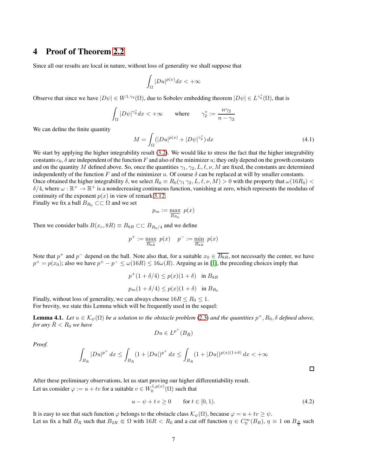## 4 Proof of Theorem [2.2](#page-2-3)

Since all our results are local in nature, without loss of generality we shall suppose that

$$
\int_{\Omega} |Du|^{p(x)} dx < +\infty
$$

Observe that since we have  $|D\psi| \in W^{1,\gamma_2}(\Omega)$ , due to Sobolev embedding theorem  $|D\psi| \in L^{\gamma_2^*}(\Omega)$ , that is

$$
\int_{\Omega} |D\psi|^{\gamma_2^*} dx < +\infty \quad \text{where} \quad \gamma_2^* := \frac{n\gamma_2}{n - \gamma_2}
$$

We can define the finite quantity

$$
M = \int_{\Omega} (|Du|^{p(x)} + |D\psi|^{\gamma_2^*}) dx
$$
\n(4.1)

We start by applying the higher integrability result [\(3.2\)](#page-5-4). We would like to stress the fact that the higher integrability constants  $c_0$ ,  $\delta$  are independent of the function F and also of the minimizer u; they only depend on the growth constants and on the quantity M defined above. So, once the quantities  $\gamma_1, \gamma_2, L, \ell, \nu, M$  are fixed, the constants are determined independently of the function F and of the minimizer u. Of course  $\delta$  can be replaced at will by smaller constants.

Once obtained the higher integrability  $\delta$ , we select  $R_0 \equiv R_0(\gamma_1 \gamma_2, L, \ell, \nu, M) > 0$  with the property that  $\omega(16R_0) <$  $\delta/4$ , where  $\omega : \mathbb{R}^+ \to \mathbb{R}^+$  is a nondecreasing continuous function, vanishing at zero, which represents the modulus of continuity of the exponent  $p(x)$  in view of remark [3.12.](#page-5-2)

Finally we fix a ball  $B_{R_0} \subset\subset \Omega$  and we set

$$
p_m := \max_{\overline{B_{R_0}}} \ p(x)
$$

Then we consider balls  $B(x_c, 8R) \equiv B_{8R} \subset\subset B_{R_0/4}$  and we define

$$
p^+ := \max_{\overline{B_{8R}}} \ p(x) \quad p^- := \min_{\overline{B_{8R}}} \ p(x)
$$

Note that  $p^+$  and  $p^-$  depend on the ball. Note also that, for a suitable  $x_0 \in \overline{B_{8R}}$ , not necessarly the center, we have  $p^+ = p(x_0)$ ; also we have  $p^+ - p^- \le \omega(16R) \le 16\omega(R)$ . Arguing as in [\[1\]](#page-14-1), the preceding choices imply that

$$
p^{+}(1+\delta/4) \le p(x)(1+\delta) \quad \text{in } B_{8R}
$$

$$
p_m(1+\delta/4) \le p(x)(1+\delta) \quad \text{in } B_{R_0}
$$

Finally, without loss of generality, we can always choose  $16R \le R_0 \le 1$ . For brevity, we state this Lemma which will be frequently used in the sequel:

<span id="page-6-1"></span>**Lemma 4.1.** Let  $u \in \mathcal{K}_{\psi}(\Omega)$  be a solution to the obstacle problem [\(2.3\)](#page-2-2) and the quantities  $p^+, R_0, \delta$  defined above, *for any*  $\bar{R} < R_0$  we have

$$
Du\in L^{p^+}(B_{\bar{R}})
$$

*Proof.*

$$
\int_{B_{\bar{R}}} |Du|^{p^+} dx \le \int_{B_{\bar{R}}} (1 + |Du|)^{p^+} dx \le \int_{B_{\bar{R}}} (1 + |Du|)^{p(x)(1+\delta)} dx < +\infty
$$

After these preliminary observations, let us start proving our higher differentiability result. Let us consider  $\varphi := u + tv$  for a suitable  $v \in W_0^{1,p(x)}(\Omega)$  such that

<span id="page-6-0"></span>
$$
u - \psi + tv \ge 0 \qquad \text{for } t \in [0, 1). \tag{4.2}
$$

□

It is easy to see that such function  $\varphi$  belongs to the obstacle class  $\mathcal{K}_{\psi}(\Omega)$ , because  $\varphi = u + tv \geq \psi$ .

Let us fix a ball  $B_R$  such that  $B_{2R} \in \Omega$  with  $16R < R_0$  and a cut off function  $\eta \in C_0^{\infty}(B_R)$ ,  $\eta \equiv 1$  on  $B_{\frac{R}{2}}$  such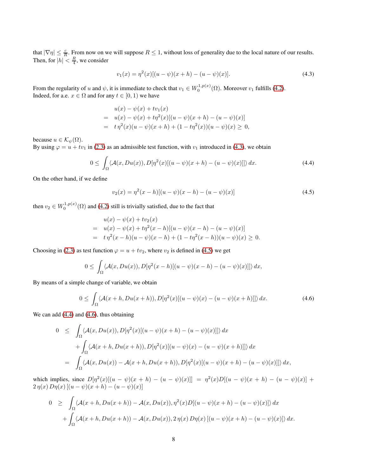that  $|\nabla \eta| \leq \frac{c}{R}$ . From now on we will suppose  $R \leq 1$ , without loss of generality due to the local nature of our results. Then, for  $|h| < \frac{R}{4}$ , we consider

<span id="page-7-0"></span>
$$
v_1(x) = \eta^2(x)[(u - \psi)(x + h) - (u - \psi)(x)].
$$
\n(4.3)

From the regularity of u and  $\psi$ , it is immediate to check that  $v_1 \in W_0^{1,p(x)}(\Omega)$ . Moreover  $v_1$  fulfills [\(4.2\)](#page-6-0). Indeed, for a.e.  $x \in \Omega$  and for any  $t \in [0, 1)$  we have

$$
u(x) - \psi(x) + tv_1(x)
$$
  
=  $u(x) - \psi(x) + t\eta^2(x)[(u - \psi)(x + h) - (u - \psi)(x)]$   
=  $t\eta^2(x)(u - \psi)(x + h) + (1 - t\eta^2(x))(u - \psi)(x) \ge 0,$ 

because  $u \in \mathcal{K}_{\psi}(\Omega)$ .

By using  $\varphi = u + tv_1$  in [\(2.3\)](#page-2-2) as an admissible test function, with  $v_1$  introduced in [\(4.3\)](#page-7-0), we obtain

<span id="page-7-2"></span>
$$
0 \leq \int_{\Omega} \langle \mathcal{A}(x, Du(x)), D[\eta^2(x)[(u - \psi)(x + h) - (u - \psi)(x)]] \rangle dx.
$$
 (4.4)

On the other hand, if we define

<span id="page-7-1"></span>
$$
v_2(x) = \eta^2(x - h)[(u - \psi)(x - h) - (u - \psi)(x)]
$$
\n(4.5)

then  $v_2 \in W_0^{1,p(x)}(\Omega)$  and [\(4.2\)](#page-6-0) still is trivially satisfied, due to the fact that

$$
u(x) - \psi(x) + tv_2(x)
$$
  
=  $u(x) - \psi(x) + t\eta^2(x - h)[(u - \psi)(x - h) - (u - \psi)(x)]$   
=  $t\eta^2(x - h)(u - \psi)(x - h) + (1 - t\eta^2(x - h))(u - \psi)(x) \ge 0.$ 

Choosing in [\(2.3\)](#page-2-2) as test function  $\varphi = u + tv_2$ , where  $v_2$  is defined in [\(4.5\)](#page-7-1) we get

$$
0 \leq \int_{\Omega} \langle A(x, Du(x)), D[\eta^{2}(x-h)[(u-\psi)(x-h)-(u-\psi)(x)]]\rangle dx,
$$

By means of a simple change of variable, we obtain

<span id="page-7-3"></span>
$$
0 \leq \int_{\Omega} \langle \mathcal{A}(x+h, Du(x+h)), D[\eta^2(x)[(u-\psi)(x)-(u-\psi)(x+h)]] \rangle dx.
$$
 (4.6)

We can add  $(4.4)$  and  $(4.6)$ , thus obtaining

$$
0 \leq \int_{\Omega} \langle \mathcal{A}(x, Du(x)), D[\eta^2(x)[(u - \psi)(x + h) - (u - \psi)(x)]] \rangle dx
$$
  
+ 
$$
\int_{\Omega} \langle \mathcal{A}(x + h, Du(x + h)), D[\eta^2(x)[(u - \psi)(x) - (u - \psi)(x + h)]] \rangle dx
$$
  
= 
$$
\int_{\Omega} \langle \mathcal{A}(x, Du(x)) - \mathcal{A}(x + h, Du(x + h)), D[\eta^2(x)[(u - \psi)(x + h) - (u - \psi)(x)]] \rangle dx,
$$

which implies, since  $D[\eta^2(x)](u - \psi)(x + h) - (u - \psi)(x)] = \eta^2(x)D[(u - \psi)(x + h) - (u - \psi)(x)] +$  $2 \eta(x) D\eta(x) [(u - \psi)(x + h) - (u - \psi)(x)]$ 

$$
0 \geq \int_{\Omega} \langle \mathcal{A}(x+h, Du(x+h)) - \mathcal{A}(x, Du(x)), \eta^2(x) D[(u-\psi)(x+h) - (u-\psi)(x)] \rangle dx
$$
  
+ 
$$
\int_{\Omega} \langle \mathcal{A}(x+h, Du(x+h)) - \mathcal{A}(x, Du(x)), 2 \eta(x) D\eta(x) [(u-\psi)(x+h) - (u-\psi)(x)] \rangle dx.
$$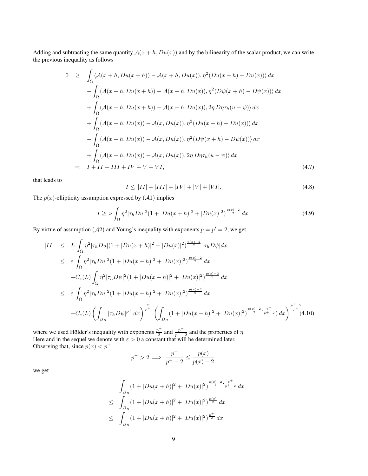Adding and subtracting the same quantity  $A(x + h, Du(x))$  and by the bilinearity of the scalar product, we can write the previous inequality as follows

$$
0 \geq \int_{\Omega} \langle \mathcal{A}(x+h, Du(x+h)) - \mathcal{A}(x+h, Du(x)), \eta^2(Du(x+h) - Du(x)) \rangle dx
$$
  
\n
$$
- \int_{\Omega} \langle \mathcal{A}(x+h, Du(x+h)) - \mathcal{A}(x+h, Du(x)), \eta^2(D\psi(x+h) - D\psi(x)) \rangle dx
$$
  
\n
$$
+ \int_{\Omega} \langle \mathcal{A}(x+h, Du(x+h)) - \mathcal{A}(x+h, Du(x)), 2\eta D\eta \tau_h(u - \psi) \rangle dx
$$
  
\n
$$
+ \int_{\Omega} \langle \mathcal{A}(x+h, Du(x)) - \mathcal{A}(x, Du(x)), \eta^2(Du(x+h) - Du(x)) \rangle dx
$$
  
\n
$$
- \int_{\Omega} \langle \mathcal{A}(x+h, Du(x)) - \mathcal{A}(x, Du(x)), \eta^2(D\psi(x+h) - D\psi(x)) \rangle dx
$$
  
\n
$$
+ \int_{\Omega} \langle \mathcal{A}(x+h, Du(x)) - \mathcal{A}(x, Du(x)), \eta^2(D\psi(x+h) - D\psi(x)) \rangle dx
$$
  
\n
$$
=: I + II + III + IV + V + VI,
$$
 (4.7)

that leads to

<span id="page-8-3"></span>
$$
I \leq |II| + |III| + |IV| + |V| + |VI|.
$$
\n(4.8)

The  $p(x)$ -ellipticity assumption expressed by  $(A1)$  implies

<span id="page-8-2"></span>
$$
I \ge \nu \int_{\Omega} \eta^2 |\tau_h D u|^2 (1 + |Du(x+h)|^2 + |Du(x)|^2)^{\frac{p(x)-2}{2}} dx. \tag{4.9}
$$

By virtue of assumption (A2) and Young's inequality with exponents  $p = p' = 2$ , we get

<span id="page-8-1"></span>
$$
\begin{split}\n|II| &\leq L \int_{\Omega} \eta^2 |\tau_h Du|(1+|Du(x+h)|^2+|Du(x)|^2)^{\frac{p(x)-2}{2}} |\tau_h D\psi| dx \\
&\leq \varepsilon \int_{\Omega} \eta^2 |\tau_h Du|^2 (1+|Du(x+h)|^2+|Du(x)|^2)^{\frac{p(x)-2}{2}} dx \\
&+ C_{\varepsilon}(L) \int_{\Omega} \eta^2 |\tau_h D\psi|^2 (1+|Du(x+h)|^2+|Du(x)|^2)^{\frac{p(x)-2}{2}} dx \\
&\leq \varepsilon \int_{\Omega} \eta^2 |\tau_h Du|^2 (1+|Du(x+h)|^2+|Du(x)|^2)^{\frac{p(x)-2}{2}} dx \\
&+ C_{\varepsilon}(L) \left( \int_{B_R} |\tau_h D\psi|^{p^+} dx \right)^{\frac{2}{p^+}} \left( \int_{B_R} (1+|Du(x+h)|^2+|Du(x)|^2)^{\frac{p(x)-2}{2}\cdot\frac{p^+}{p^+-2}}) dx \right)^{\frac{p^+-2}{p^+}} (4.10)\n\end{split}
$$

where we used Hölder's inequality with exponents  $\frac{p^+}{2}$  $\frac{p^+}{2}$  and  $\frac{p^+}{p^+-}$  $\frac{p}{p^+-2}$  and the properties of  $\eta$ . Here and in the sequel we denote with  $\varepsilon > 0$  a constant that will be determined later. Observing that, since  $p(x) < p^+$ 

$$
p^{-} > 2 \implies \frac{p^{+}}{p^{+} - 2} \le \frac{p(x)}{p(x) - 2}
$$

we get

<span id="page-8-0"></span>
$$
\int_{B_R} (1+|Du(x+h)|^2 + |Du(x)|^2)^{\frac{p(x)-2}{2}\cdot\frac{p^+}{p^+-2}} dx
$$
\n
$$
\leq \int_{B_R} (1+|Du(x+h)|^2 + |Du(x)|^2)^{\frac{p(x)}{2}} dx
$$
\n
$$
\leq \int_{B_R} (1+|Du(x+h)|^2 + |Du(x)|^2)^{\frac{p^+}{2}} dx
$$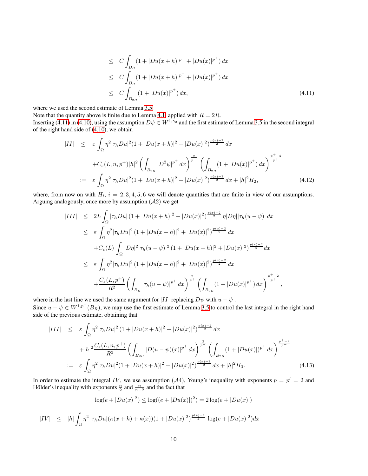$$
\leq C \int_{B_R} (1 + |Du(x+h)|^{p^+} + |Du(x)|^{p^+}) dx
$$
  
\n
$$
\leq C \int_{B_R} (1 + |Du(x+h)|^{p^+} + |Du(x)|^{p^+}) dx
$$
  
\n
$$
\leq C \int_{B_{2R}} (1 + |Du(x)|^{p^+}) dx,
$$
\n(4.11)

where we used the second estimate of Lemma [3.5.](#page-4-1)

Note that the quantity above is finite due to Lemma [4.1,](#page-6-1) applied with  $\bar{R} = 2R$ .

Inserting [\(4.11\)](#page-8-0) in [\(4.10\)](#page-8-1), using the assumption  $D\psi \in W^{1,\gamma_2}$  and the first estimate of Lemma [3.5](#page-4-1) in the second integral of the right hand side of [\(4.10\)](#page-8-1), we obtain

<span id="page-9-1"></span>
$$
|II| \leq \varepsilon \int_{\Omega} \eta^2 |\tau_h Du|^2 (1 + |Du(x+h)|^2 + |Du(x)|^2)^{\frac{p(x)-2}{2}} dx
$$
  
+ $C_{\varepsilon}(L, n, p^+)|h|^2 \left( \int_{B_{2R}} |D^2 \psi|^{p^+} dx \right)^{\frac{2}{p^+}} \left( \int_{B_{2R}} (1 + |Du(x)|^{p^+}) dx \right)^{\frac{p^+-2}{p^+}}$   
:=  $\varepsilon \int_{\Omega} \eta^2 |\tau_h Du|^2 (1 + |Du(x+h)|^2 + |Du(x)|^2)^{\frac{p(x)-2}{2}} dx + |h|^2 H_2,$  (4.12)

where, from now on with  $H_i$ ,  $i = 2, 3, 4, 5, 6$  we will denote quantities that are finite in view of our assumptions. Arguing analogously, once more by assumption  $(A2)$  we get

$$
|III| \leq 2L \int_{\Omega} |\tau_h Du| (1+|Du(x+h)|^2 + |Du(x)|^2)^{\frac{p(x)-2}{2}} \eta |D\eta| |\tau_h (u-\psi)| dx
$$
  
\n
$$
\leq \varepsilon \int_{\Omega} \eta^2 |\tau_h Du|^2 (1+|Du(x+h)|^2 + |Du(x)|^2)^{\frac{p(x)-2}{2}} dx
$$
  
\n
$$
+ C_{\varepsilon}(L) \int_{\Omega} |D\eta|^2 |\tau_h (u-\psi)|^2 (1+|Du(x+h)|^2 + |Du(x)|^2)^{\frac{p(x)-2}{2}} dx
$$
  
\n
$$
\leq \varepsilon \int_{\Omega} \eta^2 |\tau_h Du|^2 (1+|Du(x+h)|^2 + |Du(x)|^2)^{\frac{p(x)-2}{2}} dx
$$
  
\n
$$
+ \frac{C_{\varepsilon}(L, p^{+})}{R^2} \left( \int_{B_R} |\tau_h (u-\psi)|^{p^{+}} dx \right)^{\frac{2}{p^{+}}} \left( \int_{B_{2R}} (1+|Du(x)|^{p^{+}}) dx \right)^{\frac{p^{+}-2}{p^{+}}},
$$

where in the last line we used the same argument for |II| replacing  $D\psi$  with  $u - \psi$ . Since  $u - \psi \in W^{1,p^+}(B_R)$ , we may use the first estimate of Lemma [3.5](#page-4-1) to control the last integral in the right hand side of the previous estimate, obtaining that

<span id="page-9-2"></span>
$$
|III| \leq \varepsilon \int_{\Omega} \eta^2 |\tau_h Du|^2 (1 + |Du(x+h)|^2 + |Du(x)|^2)^{\frac{p(x)-2}{2}} dx + |h|^2 \frac{C_{\varepsilon}(L, n, p^+)}{R^2} \left( \int_{B_{2R}} |D(u - \psi)(x)|^{p^+} dx \right)^{\frac{2}{p^+}} \left( \int_{B_{2R}} (1 + |Du(x)|)^{p^+} dx \right)^{\frac{p^+ - 2}{p^+}} := \varepsilon \int_{\Omega} \eta^2 |\tau_h Du|^2 (1 + |Du(x+h)|^2 + |Du(x)|^2)^{\frac{p(x)-2}{2}} dx + |h|^2 H_3.
$$
 (4.13)

In order to estimate the integral IV, we use assumption (A4), Young's inequality with exponents  $p = p' = 2$  and Hölder's inequality with exponents  $\frac{n}{2}$  and  $\frac{n}{n-2}$  and the fact that

$$
\log(e + |Du(x)|^2) \le \log((e + |Du(x)|)^2) = 2\log(e + |Du(x)|)
$$

<span id="page-9-0"></span>
$$
|IV| \leq |h| \int_{\Omega} \eta^2 |\tau_h Du| (\kappa(x+h) + \kappa(x))(1+|Du(x)|^2)^{\frac{p(x)-1}{2}} \log(e+|Du(x)|^2) dx
$$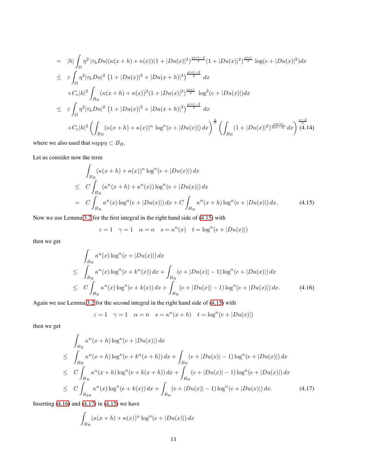$$
= |h| \int_{\Omega} \eta^{2} |\tau_{h}Du| (\kappa(x+h) + \kappa(x))(1+|Du(x)|^{2})^{\frac{p(x)-2}{4}} (1+|Du(x)|^{2})^{\frac{p(x)}{4}} \log(e+|Du(x)|^{2}) dx
$$
  
\n
$$
\leq \varepsilon \int_{\Omega} \eta^{2} |\tau_{h}Du|^{2} (1+|Du(x)|^{2}+|Du(x+h)|^{2})^{\frac{p(x)-2}{2}} dx
$$
  
\n
$$
+C_{\varepsilon}|h|^{2} \int_{B_{R}} (\kappa(x+h) + \kappa(x))^{2} (1+|Du(x)|^{2})^{\frac{p(x)}{2}} \log^{2}(e+|Du(x)|) dx
$$
  
\n
$$
\leq \varepsilon \int_{\Omega} \eta^{2} |\tau_{h}Du|^{2} (1+|Du(x)|^{2}+|Du(x+h)|^{2})^{\frac{p(x)-2}{2}} dx
$$
  
\n
$$
+C_{\varepsilon}|h|^{2} \left( \int_{B_{R}} (\kappa(x+h) + \kappa(x))^{n} \log^{n}(e+|Du(x)|) dx \right)^{\frac{2}{n}} \left( \int_{B_{R}} (1+|Du(x)|^{2})^{\frac{np(x)}{2(n-2)}} dx \right)^{\frac{n-2}{n}} (4.14)
$$

where we also used that  $\text{supp}\eta \subset B_R$ .

Let us consider now the term

<span id="page-10-0"></span>
$$
\int_{B_R} (\kappa(x+h) + \kappa(x))^n \log^n(e + |Du(x)|) dx
$$
\n
$$
\leq C \int_{B_R} (\kappa^n(x+h) + \kappa^n(x)) \log^n(e + |Du(x)|) dx
$$
\n
$$
= C \int_{B_R} \kappa^n(x) \log^n(e + |Du(x)|) dx + C \int_{B_R} \kappa^n(x+h) \log^n(e + |Du(x)|) dx. \tag{4.15}
$$

Now we use Lemma [3.2](#page-3-0) for the first integral in the right hand side of [\(4.15\)](#page-10-0) with

$$
\varepsilon = 1 \quad \gamma = 1 \quad \alpha = n \quad s = \kappa^{n}(x) \quad t = \log^{n}(e + |Du(x)|)
$$

then we get

<span id="page-10-1"></span>
$$
\int_{B_R} \kappa^n(x) \log^n(e + |Du(x)|) dx
$$
\n
$$
\leq \int_{B_R} \kappa^n(x) \log^n(e + k^n(x)) dx + \int_{B_R} (e + |Du(x)| - 1) \log^n(e + |Du(x)|) dx
$$
\n
$$
\leq C \int_{B_R} \kappa^n(x) \log^n(e + k(x)) dx + \int_{B_R} (e + |Du(x)| - 1) \log^n(e + |Du(x)|) dx. \tag{4.16}
$$

Again we use Lemma [3.2](#page-3-0) for the second integral in the right hand side of [\(4.15\)](#page-10-0) with

$$
\varepsilon = 1 \quad \gamma = 1 \quad \alpha = n \quad s = \kappa^{n}(x + h) \quad t = \log^{n}(e + |Du(x)|)
$$

then we get

<span id="page-10-2"></span>
$$
\int_{B_R} \kappa^n(x+h) \log^n(e+|Du(x)|) dx
$$
\n
$$
\leq \int_{B_R} \kappa^n(x+h) \log^n(e+k^n(x+h)) dx + \int_{B_R} (e+|Du(x)|-1) \log^n(e+|Du(x)|) dx
$$
\n
$$
\leq C \int_{B_R} \kappa^n(x+h) \log^n(e+k(x+h)) dx + \int_{B_R} (e+|Du(x)|-1) \log^n(e+|Du(x)|) dx
$$
\n
$$
\leq C \int_{B_{2R}} \kappa^n(x) \log^n(e+k(x)) dx + \int_{B_R} (e+|Du(x)|-1) \log^n(e+|Du(x)|) dx. \tag{4.17}
$$

Inserting  $(4.16)$  and  $(4.17)$  in  $(4.15)$  we have

<span id="page-10-3"></span>
$$
\int_{B_R} (\kappa(x+h) + \kappa(x))^n \log^n(e + |Du(x)|) dx
$$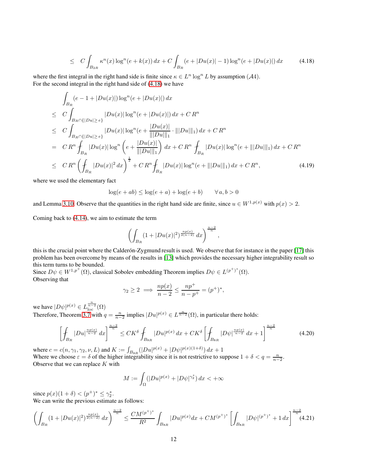$$
\leq C \int_{B_{2R}} \kappa^n(x) \log^n(e + k(x)) \, dx + C \int_{B_R} (e + |Du(x)| - 1) \log^n(e + |Du(x)|) \, dx \tag{4.18}
$$

where the first integral in the right hand side is finite since  $\kappa \in L^n \log^n L$  by assumption (A4). For the second integral in the right hand side of [\(4.18\)](#page-10-3) we have

<span id="page-11-0"></span>
$$
\int_{B_R} (e - 1 + |Du(x)|) \log^n(e + |Du(x)|) dx
$$
\n
$$
\leq C \int_{B_R \cap \{|Du| \geq e\}} |Du(x)| \log^n(e + |Du(x)|) dx + C R^n
$$
\n
$$
\leq C \int_{B_R \cap \{|Du| \geq e\}} |Du(x)| \log^n(e + \frac{|Du(x)|}{\| |Du\|_{1}} \cdot |||Du||_{1}) dx + C R^n
$$
\n
$$
= C R^n \int_{B_R} |Du(x)| \log^n(e + \frac{|Du(x)|}{\| |Du\|_{1}}) dx + C R^n \int_{B_R} |Du(x)| \log^n(e + |||Du||_{1}) dx + C R^n
$$
\n
$$
\leq C R^n \left( \int_{B_R} |Du(x)|^2 dx \right)^{\frac{1}{2}} + C R^n \int_{B_R} |Du(x)| \log^n(e + |||Du||_{1}) dx + C R^n, \tag{4.19}
$$

where we used the elementary fact

 $\log(e + ab) \leq \log(e + a) + \log(e + b) \qquad \forall a, b > 0$ 

and Lemma [3.10.](#page-5-5) Observe that the quantities in the right hand side are finite, since  $u \in W^{1,p(x)}$  with  $p(x) > 2$ .

Coming back to [\(4.14\)](#page-9-0), we aim to estimate the term

$$
\left(\int_{B_R} (1+|Du(x)|^2)^{\frac{np(x)}{2(n-2)}}\,dx\right)^{\frac{n-2}{n}},
$$

this is the crucial point where the Calder on-Zygmund result is used. We observe that for instance in the paper [\[17\]](#page-15-4) this problem has been overcome by means of the results in [\[13\]](#page-15-2) which provides the necessary higher integrability result so this term turns to be bounded.

Since  $D\psi \in W^{1,p^+}(\Omega)$ , classical Sobolev embedding Theorem implies  $D\psi \in L^{(p^+)^*}(\Omega)$ . Observing that

$$
\gamma_2 \ge 2 \implies \frac{np(x)}{n-2} \le \frac{np^+}{n-p^+} = (p^+)^*,
$$

we have  $|D\psi|^{p(x)} \in L^{\frac{n}{n-2}}_{\text{loc}}(\Omega)$ Therefore, Theorem [3.7](#page-4-0) with  $q = \frac{n}{n-2}$  implies  $|Du|^{p(x)} \in L^{\frac{n}{n-2}}(\Omega)$ , in particular there holds:

$$
\left[\oint_{B_R} |Du|^{\frac{np(x)}{n-2}} dx\right]^{\frac{n-2}{n}} \le CK^{\delta} \oint_{B_{8R}} |Du|^{p(x)} dx + CK^{\delta} \left[\oint_{B_{8R}} |D\psi|^{\frac{np(x)}{n-2}} dx + 1\right]^{\frac{n-2}{n}} \tag{4.20}
$$

where  $c = c(n, \gamma_1, \gamma_2, \nu, L)$  and  $K := \int_{B_{8R}} (|Du|^{p(x)} + |D\psi|^{p(x)(1+\delta)}) dx + 1$ Where we choose  $\varepsilon = \delta$  of the higher integrability since it is not restrictive to suppose  $1 + \delta < q = \frac{n}{n-2}$ . Observe that we can replace  $K$  with

$$
M := \int_{\Omega} (|Du|^{p(x)} + |D\psi|^{\gamma_2^*}) dx < +\infty
$$

since  $p(x)(1 + \delta) < (p^+)^* \le \gamma_2^*$ .

We can write the previous estimate as follows:

<span id="page-11-1"></span>
$$
\left(\int_{B_R} (1+|Du(x)|^2)^{\frac{np(x)}{2(n-2)}} dx\right)^{\frac{n-2}{n}} \le \frac{CM^{(p^+)^*}}{R^2} \int_{B_{8R}} |Du|^{p(x)} dx + CM^{(p^+)^*} \left[\int_{B_{8R}} |D\psi|^{(p^+)^*} + 1 dx\right]^{\frac{n-2}{n}} (4.21)
$$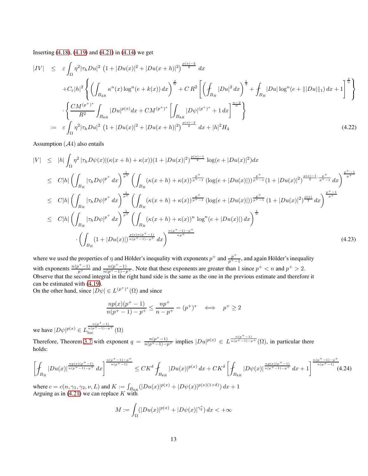Inserting [\(4.18\)](#page-10-3), [\(4.19\)](#page-11-0) and [\(4.21\)](#page-11-1) in [\(4.14\)](#page-9-0) we get

<span id="page-12-1"></span>
$$
|IV| \leq \varepsilon \int_{\Omega} \eta^2 |\tau_h Du|^2 \left(1 + |Du(x)|^2 + |Du(x+h)|^2\right)^{\frac{p(x)-2}{2}} dx
$$
  
+ $C_{\varepsilon} |h|^2 \left\{ \left( \int_{B_{2R}} \kappa^n(x) \log^n(e + k(x)) dx \right)^{\frac{2}{n}} + CR^2 \left[ \left( \int_{B_R} |Du|^2 dx \right)^{\frac{1}{2}} + \int_{B_R} |Du| \log^n(e + |||Du||_1) dx + 1 \right]^{\frac{2}{n}} \right\}$   
+ $\left\{ \frac{CM^{(p^+)^*}}{R^2} \int_{B_{8R}} |Du|^{p(x)} dx + CM^{(p^+)^*} \left[ \int_{B_{8R}} |D\psi|^{(p^+)^*} + 1 dx \right]^{\frac{n-2}{n}} \right\}$   
=  $\varepsilon \int_{\Omega} \eta^2 |\tau_h Du|^2 \left(1 + |Du(x)|^2 + |Du(x+h)|^2\right)^{\frac{p(x)-2}{2}} dx + |h|^2 H_4$  (4.22)

Assumption  $(A4)$  also entails

<span id="page-12-0"></span>
$$
|V| \leq |h| \int_{\Omega} \eta^{2} |\tau_{h}D\psi(x)| (\kappa(x+h) + \kappa(x))(1+|Du(x)|^{2})^{\frac{p(x)-1}{2}} \log(e+|Du(x)|^{2}) dx
$$
  
\n
$$
\leq C|h| \left( \int_{B_{R}} |\tau_{h}D\psi|^{p^{+}} dx \right)^{\frac{1}{p^{+}}} \left( \int_{B_{R}} (\kappa(x+h) + \kappa(x))^{\frac{p^{+}}{p^{+}-1}} (\log(e+|Du(x)|))^{\frac{p^{+}}{p^{+}-1}} (1+|Du(x)|^{2})^{\frac{p(x)-1}{2} \cdot \frac{p^{+}}{p^{+}-1}} dx \right)^{\frac{p^{+}-1}{p^{+}}}
$$
  
\n
$$
\leq C|h| \left( \int_{B_{R}} |\tau_{h}D\psi|^{p^{+}} dx \right)^{\frac{1}{p^{+}}} \left( \int_{B_{R}} (\kappa(x+h) + \kappa(x))^{\frac{p^{+}}{p^{+}-1}} (\log(e+|Du(x)|))^{\frac{p^{+}}{p^{+}-1}} (1+|Du(x)|^{2})^{\frac{p(x)}{2}} dx \right)^{\frac{p^{+}-1}{p^{+}}}
$$
  
\n
$$
\leq C|h| \left( \int_{B_{R}} |\tau_{h}D\psi|^{p^{+}} dx \right)^{\frac{1}{p^{+}}} \left( \int_{B_{R}} (\kappa(x+h) + \kappa(x))^{n} \log^{n}(e+|Du(x)|) dx \right)^{\frac{1}{n}}
$$
  
\n
$$
\cdot \left( \int_{B_{R}} (1+|Du(x)|)^{\frac{p(x)n(p^{+}-1)}{n(p^{+}-1)-p^{+}}} dx \right)^{\frac{n(p^{+}-1)-p^{+}}{n(p^{+}}}
$$
 (4.23)

where we used the properties of  $\eta$  and Hölder's inequality with exponents  $p^+$  and  $\frac{p^+}{n^+}$  $\frac{p}{p^+-1}$ , and again Hölder's inequality with exponents  $\frac{n(p^+ - 1)}{p^+}$  and  $\frac{n(p^+ - 1)}{n(p^+ - 1) - p^+}$ . Note that these exponents are greater than 1 since  $p^+ < n$  and  $p^+ > 2$ . Observe that the second integral in the right hand side is the same as the one in the previous estimate and therefore it can be estimated with [\(4.19\)](#page-11-0).  $(p^{+})^*$ 

On the other hand, since 
$$
|D\psi| \in L^{(p^+)^*}(\Omega)
$$
 and since

$$
\frac{np(x)(p^{+} - 1)}{n(p^{+} - 1) - p^{+}} \le \frac{np^{+}}{n - p^{+}} = (p^{+})^{*} \iff p^{+} \ge 2
$$

we have  $|D\psi|^{p(x)} \in L$  $\frac{n(p^+-1)}{n(p^+-1)-p^+}$  (Ω)

Therefore, Theorem [3.7](#page-4-0) with exponent  $q = \frac{n(p^+ - 1)}{n(p^+ - 1) - p^+}$  implies  $|Du|^{p(x)} \in L^{\frac{n(p^+ - 1)}{n(p^+ - 1) - p^+}}(\Omega)$ , in particular there holds:

$$
\left[\oint_{B_R} |Du(x)|^{\frac{np(x)(p^+-1)}{n(p^+-1)-p^+}} dx\right]^{\frac{n(p^+-1)-p^+}{n(p^+-1)}} \leq CK^{\delta} \oint_{B_{8R}} |Du(x)|^{p(x)} dx + CK^{\delta} \left[\oint_{B_{8R}} |D\psi(x)|^{\frac{np(x)(p^+-1)}{n(p^+-1)-p^+}} dx + 1\right]^{\frac{n(p^+-1)-p^+}{n(p^+-1)}} (4.24)
$$

where  $c = c(n, \gamma_1, \gamma_2, \nu, L)$  and  $K := \int_{B_{8R}} (|Du(x)|^{p(x)} + |D\psi(x)|^{p(x)(1+\delta)}) dx + 1$ Arguing as in [\(4.21\)](#page-11-1) we can replace  $K$  with

$$
M := \int_{\Omega} (|Du(x)|^{p(x)} + |D\psi(x)|^{\gamma_2^*}) dx < +\infty
$$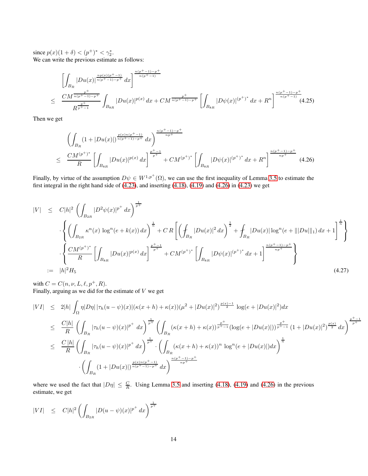since  $p(x)(1 + \delta) < (p^+)^* < \gamma_2^*$ . We can write the previous estimate as follows:

$$
\left[\int_{B_R} |Du(x)|^{\frac{np(x)(p^+-1)}{n(p^+-1)-p^+}} dx\right]^{\frac{n(p^+-1)-p^+}{n(p^+-1)}}\n\leq \frac{CM^{\frac{p^+}{n(p^+-1)-p^+}}}{R^{\frac{p^+}{p^+-1}}} \int_{B_{8R}} |Du(x)|^{p(x)} dx + CM^{\frac{p^+}{n(p^+-1)-p^+}} \left[\int_{B_{8R}} |D\psi(x)|^{(p^+)^*} dx + R^n\right]^{\frac{n(p^+-1)-p^+}{n(p^+-1)}}\n\tag{4.25}
$$

Then we get

<span id="page-13-0"></span>
$$
\left(\int_{B_R} (1+|Du(x)|)^{\frac{p(x)n(p^{+}-1)}{n(p^{+}-1)-p^{+}}} dx\right)^{\frac{n(p^{+}-1)-p^{+}}{np^{+}}} \leq \frac{CM^{(p^{+})^{*}}}{R} \left[\int_{B_{8R}} |Du(x)|^{p(x)} dx\right]^{\frac{p^{+}-1}{p^{+}}} + CM^{(p^{+})^{*}} \left[\int_{B_{8R}} |D\psi(x)|^{(p^{+})^{*}} dx + R^{n}\right]^{\frac{n(p^{+}-1)-p^{+}}{np^{+}}} (4.26)
$$

Finally, by virtue of the assumption  $D\psi \in W^{1,p^+}(\Omega)$ , we can use the first inequality of Lemma [3.5](#page-4-1) to estimate the first integral in the right hand side of  $(4.23)$ , and inserting  $(4.18)$ ,  $(4.19)$  and  $(4.26)$  in  $(4.23)$  we get

<span id="page-13-1"></span>
$$
|V| \leq C|h|^2 \left( \int_{B_{2R}} |D^2 \psi(x)|^{p^+} dx \right)^{\frac{1}{p^+}} \n\cdot \left\{ \left( \int_{B_{2R}} \kappa^n(x) \log^n(e + k(x)) dx \right)^{\frac{1}{n}} + CR \left[ \left( \int_{B_R} |Du(x)|^2 dx \right)^{\frac{1}{2}} + \int_{B_R} |Du(x)| \log^n(e + |||Du||_1) dx + 1 \right]^{\frac{1}{n}} \right\} \n\cdot \left\{ \frac{CM^{(p^+)^*}}{R} \left[ \int_{B_{8R}} |Du(x)|^{p(x)} dx \right]^{\frac{p^+ - 1}{p^+}} + CM^{(p^+)^*} \left[ \int_{B_{8R}} |D\psi(x)|^{(p^+)^*} dx + 1 \right]^{\frac{n(p^+ - 1) - p^+}{np^+}} \right\} \n:= |h|^2 H_5
$$
\n(4.27)

with  $C = C(n, \nu, L, \ell, p^+, R)$ . Finally, arguing as we did for the estimate of  $V$  we get

$$
|VI| \leq 2|h| \int_{\Omega} \eta |D\eta| |\tau_h(u - \psi)(x)| (\kappa(x + h) + \kappa(x)) (\mu^2 + |Du(x)|^2)^{\frac{p(x)-1}{2}} \log(e + |Du(x)|^2) dx
$$
  
\n
$$
\leq \frac{C|h|}{R} \left( \int_{B_R} |\tau_h(u - \psi)(x)|^{p^+} dx \right)^{\frac{1}{p^+}} \left( \int_{B_R} (\kappa(x + h) + \kappa(x))^{\frac{p^+}{p^+-1}} (\log(e + |Du(x)|))^{\frac{p^+}{p^+-1}} (1 + |Du(x)|^2)^{\frac{p(x)}{2}} dx \right)^{\frac{p^+-1}{p^+}}
$$
  
\n
$$
\leq \frac{C|h|}{R} \left( \int_{B_R} |\tau_h(u - \psi)(x)|^{p^+} dx \right)^{\frac{1}{p^+}} \cdot \left( \int_{B_R} (\kappa(x + h) + \kappa(x))^n \log^n(e + |Du(x)|) dx \right)^{\frac{1}{n}}
$$
  
\n
$$
\cdot \left( \int_{B_R} (1 + |Du(x)|)^{\frac{p(x)n(p^+-1)}{n(p^+-1)-p^+}} dx \right)^{\frac{n(p^+-1)-p^+}{np^+}}
$$

where we used the fact that  $|D\eta| \leq \frac{C}{R}$ . Using Lemma [3.5](#page-4-1) and inserting [\(4.18\)](#page-10-3), [\(4.19\)](#page-11-0) and [\(4.26\)](#page-13-0) in the previous estimate, we get

<span id="page-13-2"></span>
$$
|VI| \leq C|h|^2 \left( \int_{B_{2R}} |D(u - \psi)(x)|^{p^+} dx \right)^{\frac{1}{p^+}}
$$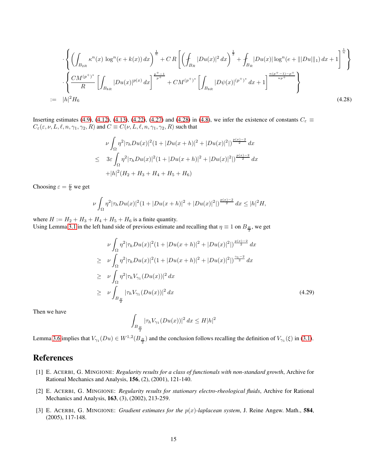$$
\cdot \left\{ \left( \int_{B_{2R}} \kappa^{n}(x) \log^{n}(e + k(x)) dx \right)^{\frac{1}{n}} + C R \left[ \left( \int_{B_{R}} |Du(x)|^{2} dx \right)^{\frac{1}{2}} + \int_{B_{R}} |Du(x)| \log^{n}(e + |||Du||_{1}) dx + 1 \right]^{\frac{1}{n}} \right\}
$$

$$
\cdot \left\{ \frac{CM^{(p^{+})^{*}}}{R} \left[ \int_{B_{8R}} |Du(x)|^{p(x)} dx \right]^{\frac{p^{+}-1}{p^{+}}} + CM^{(p^{+})^{*}} \left[ \int_{B_{8R}} |D\psi(x)|^{(p^{+})^{*}} dx + 1 \right]^{\frac{n(p^{+}-1)-p^{+}}{np^{+}}} \right\}
$$

$$
:= |h|^{2} H_{6}
$$
(4.28)

Inserting estimates [\(4.9\)](#page-8-2), [\(4.12\)](#page-9-1), [\(4.13\)](#page-9-2), [\(4.22\)](#page-12-1), [\(4.27\)](#page-13-1) and [\(4.28\)](#page-13-2) in [\(4.8\)](#page-8-3), we infer the existence of constants  $C_{\varepsilon} \equiv$  $C_{\varepsilon}(\varepsilon, \nu, L, \ell, n, \gamma_1, \gamma_2, R)$  and  $C \equiv C(\nu, L, \ell, n, \gamma_1, \gamma_2, R)$  such that

$$
\nu \int_{\Omega} \eta^2 |\tau_h Du(x)|^2 (1 + |Du(x+h)|^2 + |Du(x)|^2 |)^{\frac{p(x)-2}{2}} dx
$$
  
\n
$$
\leq 3\varepsilon \int_{\Omega} \eta^2 |\tau_h Du(x)|^2 (1 + |Du(x+h)|^2 + |Du(x)|^2 |)^{\frac{p(x)-2}{2}} dx
$$
  
\n
$$
+ |h|^2 (H_2 + H_3 + H_4 + H_5 + H_6)
$$

Choosing  $\varepsilon = \frac{\nu}{6}$  we get

$$
\nu \int_{\Omega} \eta^2 |\tau_h Du(x)|^2 (1+|Du(x+h)|^2+|Du(x)|^2|)^{\frac{p(x)-2}{2}} dx \le |h|^2 H,
$$

where  $H := H_2 + H_3 + H_4 + H_5 + H_6$  is a finite quantity.

Using Lemma [3.1](#page-3-1) in the left hand side of previous estimate and recalling that  $\eta \equiv 1$  on  $B_{\frac{R}{2}}$ , we get

$$
\nu \int_{\Omega} \eta^2 |\tau_h Du(x)|^2 (1 + |Du(x+h)|^2 + |Du(x)|^2|)^{\frac{p(x)-2}{2}} dx
$$
  
\n
$$
\geq \nu \int_{\Omega} \eta^2 |\tau_h Du(x)|^2 (1 + |Du(x+h)|^2 + |Du(x)|^2|)^{\frac{\gamma_1 - 2}{2}} dx
$$
  
\n
$$
\geq \nu \int_{\Omega} \eta^2 |\tau_h V_{\gamma_1}(Du(x))|^2 dx
$$
  
\n
$$
\geq \nu \int_{B_{\frac{R}{2}}} |\tau_h V_{\gamma_1}(Du(x))|^2 dx
$$
\n(4.29)

Then we have

$$
\int_{B_{\frac{R}{2}}} |\tau_h V_{\gamma_1}(Du(x))|^2 dx \le H|h|^2
$$

Lemma [3.6](#page-4-2) implies that  $V_{\gamma_1}(Du) \in W^{1,2}(B_{\frac{R}{2}})$  and the conclusion follows recalling the definition of  $V_{\gamma_1}(\xi)$  in [\(3.1\)](#page-3-1).

## <span id="page-14-1"></span>**References**

- [1] E. ACERBI, G. MINGIONE: *Regularity results for a class of functionals with non-standard growth*, Archive for Rational Mechanics and Analysis, 156, (2), (2001), 121-140.
- <span id="page-14-0"></span>[2] E. ACERBI, G. MINGIONE: *Regularity results for stationary electro-rheological fluids*, Archive for Rational Mechanics and Analysis, 163, (3), (2002), 213-259.
- <span id="page-14-2"></span>[3] E. ACERBI, G. MINGIONE: *Gradient estimates for the* p(x)*-laplacean system*, J. Reine Angew. Math., 584, (2005), 117-148.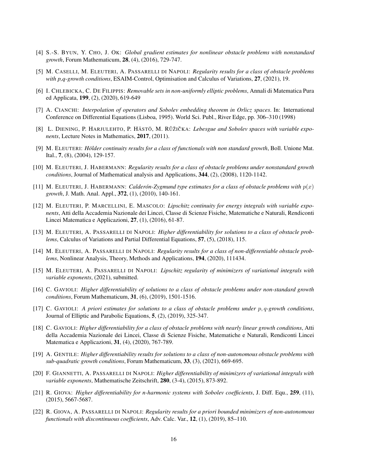- <span id="page-15-13"></span><span id="page-15-11"></span>[4] S.-S. BYUN, Y. CHO, J. OK: *Global gradient estimates for nonlinear obstacle problems with nonstandard growth*, Forum Mathematicum, 28, (4), (2016), 729-747.
- <span id="page-15-6"></span>[5] M. CASELLI, M. ELEUTERI, A. PASSARELLI DI NAPOLI: *Regularity results for a class of obstacle problems* with p,q-growth conditions, ESAIM-Control, Optimisation and Calculus of Variations, 27, (2021), 19.
- [6] I. CHLEBICKA, C. DE FILIPPIS: *Removable sets in non-uniformly elliptic problems*, Annali di Matematica Pura ed Applicata, 199, (2), (2020), 619-649
- <span id="page-15-15"></span>[7] A. CIANCHI: *Interpolation of operators and Sobolev embedding theorem in Orlicz spaces*. In: International Conference on Differential Equations (Lisboa, 1995). World Sci. Publ., River Edge, pp. 306–310 (1998)
- <span id="page-15-14"></span><span id="page-15-9"></span>[8] L. DIENING, P. HARJULEHTO, P. HÄSTÖ, M. RŮŽIČKA: Lebesgue and Sobolev spaces with variable expo*nents*, Lecture Notes in Mathematics, 2017, (2011).
- <span id="page-15-12"></span>[9] M. ELEUTERI: *Hölder continuity results for a class of functionals with non <i>standard growth*, Boll. Unione Mat. Ital., 7, (8), (2004), 129-157.
- [10] M. ELEUTERI, J. HABERMANN: *Regularity results for a class of obstacle problems under nonstandard growth conditions*, Journal of Mathematical analysis and Applications, 344, (2), (2008), 1120-1142.
- <span id="page-15-18"></span><span id="page-15-16"></span>[11] M. ELEUTERI, J. HABERMANN: *Calderón-Zygmund type estimates for a class of obstacle problems with*  $p(x)$ *growth*, J. Math. Anal. Appl., 372, (1), (2010), 140-161.
- [12] M. ELEUTERI, P. MARCELLINI, E. MASCOLO: *Lipschitz continuity for energy integrals with variable exponents*, Atti della Accademia Nazionale dei Lincei, Classe di Scienze Fisiche, Matematiche e Naturali, Rendiconti Lincei Matematica e Applicazioni, 27, (1), (2016), 61-87.
- <span id="page-15-2"></span>[13] M. ELEUTERI, A. PASSARELLI DI NAPOLI: *Higher differentiability for solutions to a class of obstacle problems*, Calculus of Variations and Partial Differential Equations, 57, (5), (2018), 115.
- <span id="page-15-3"></span>[14] M. ELEUTERI, A. PASSARELLI DI NAPOLI: *Regularity results for a class of non-differentiable obstacle problems*, Nonlinear Analysis, Theory, Methods and Applications, 194, (2020), 111434.
- <span id="page-15-17"></span>[15] M. ELEUTERI, A. PASSARELLI DI NAPOLI: *Lipschitz regularity of minimizers of variational integrals with variable exponents*, (2021), submitted.
- <span id="page-15-5"></span><span id="page-15-4"></span>[16] C. GAVIOLI: *Higher differentiability of solutions to a class of obstacle problems under non-standard growth conditions*, Forum Mathematicum, 31, (6), (2019), 1501-1516.
- [17] C. GAVIOLI: *A priori estimates for solutions to a class of obstacle problems under* p, q*-growth conditions*, Journal of Elliptic and Parabolic Equations, 5, (2), (2019), 325-347.
- <span id="page-15-7"></span>[18] C. GAVIOLI: *Higher differentiability for a class of obstacle problems with nearly linear growth conditions*, Atti della Accademia Nazionale dei Lincei, Classe di Scienze Fisiche, Matematiche e Naturali, Rendiconti Lincei Matematica e Applicazioni, 31, (4), (2020), 767-789.
- <span id="page-15-8"></span>[19] A. GENTILE: *Higher differentiability results for solutions to a class of non-autonomous obstacle problems with sub-quadratic growth conditions*, Forum Mathematicum, 33, (3), (2021), 669-695.
- <span id="page-15-10"></span>[20] F. GIANNETTI, A. PASSARELLI DI NAPOLI: *Higher differentiability of minimizers of variational integrals with variable exponents*, Mathematische Zeitschrift, 280, (3-4), (2015), 873-892.
- <span id="page-15-0"></span>[21] R. GIOVA: *Higher differentiability for n-harmonic systems with Sobolev coefficients*, J. Diff. Equ., 259, (11), (2015), 5667-5687.
- <span id="page-15-1"></span>[22] R. GIOVA, A. PASSARELLI DI NAPOLI: *Regularity results for a priori bounded minimizers of non-autonomous functionals with discontinuous coefficients*, Adv. Calc. Var., 12, (1), (2019), 85–110.